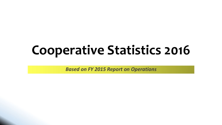# **Cooperative Statistics 2016**

*Based on FY 2015 Report on Operations*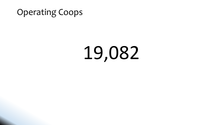#### Operating Coops

# 19,082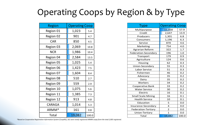#### Operating Coops by Region & by Type

| <b>Region</b>     | <b>Operating Coop</b> |       |
|-------------------|-----------------------|-------|
| Region 01         | 1,023                 | 5.4   |
| Region 02         | 901                   | 4.7   |
|                   |                       |       |
| <b>CAR</b>        | 850                   | 4.5   |
| Region 03         | 2,069                 | 10.8  |
| <b>NCR</b>        |                       |       |
|                   | 1,986                 | 10.4  |
| Region 04         | 2,584                 | 13.5  |
| Region 05         | 1,025                 | 5.4   |
|                   | 1,423                 |       |
| Region 06         |                       | 7.5   |
| Region 07         | 1,604                 | 8.4   |
| Region 08         | 510                   | 2.7   |
| Region 09         | 559                   | 2.9   |
|                   |                       |       |
| Region 10         | 1,075                 | 5.6   |
| Region 11         | 1,385                 | 7.3   |
| Region 12         | 913                   | 4.8   |
|                   |                       |       |
| <b>CARAGA</b>     | 1,014                 | 5.3   |
| ARMM <sup>*</sup> | 161                   | 0.8   |
| Total             | 19,082                | 100.0 |
|                   |                       |       |

| Type                       | <b>Operating Coop</b> |       |  |
|----------------------------|-----------------------|-------|--|
| Multipurpose               | 11,058                | 57.9  |  |
| Credit                     | 2,647                 | 13.9  |  |
| Producers                  | 1,301                 | 6.8   |  |
| Consumers                  | 1,196                 | 6.3   |  |
| Service                    | 870                   | 4.6   |  |
| Marketing                  | 754                   | 4.0   |  |
| Agrarian Reform            | 322                   | 1.7   |  |
| Federation-Secondary       | 196                   | 1.0   |  |
| Transport                  | 179                   | 0.9   |  |
| Agriculture                | 124                   | 0.6   |  |
| Housing                    | 62                    | 0.3   |  |
| Union-Secondary            | 55                    | 0.3   |  |
| Labor Service              | 51                    | 0.3   |  |
| Fishermen                  | 46                    | 0.2   |  |
| Advocacy                   | 35                    | 0.2   |  |
| Dairy                      | 35                    | 0.2   |  |
| Workers                    | 34                    | 0.2   |  |
| <b>Cooperative Bank</b>    | 33                    | 0.2   |  |
| <b>Water Service</b>       | 30                    | 0.2   |  |
| Electric                   | 16                    | 0.1   |  |
| <b>Small Scale Mining</b>  | 16                    | 0.1   |  |
| <b>Health Service</b>      | 10                    | 0.1   |  |
| Education                  | 5                     | 0.0   |  |
| Insurance-Secondary        | 4                     | 0.0   |  |
| <b>Federation-Tertiary</b> | $\overline{2}$        | 0.0   |  |
| Union-Tertiary             | $\mathbf{1}$          | 0.0   |  |
| Total                      | 19,082                | 100.0 |  |

*\*Based on Cooperative Registration Information System (CoopRIS), 161 were newly registered ARMM coops from the total 2,005 registered.*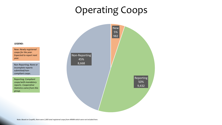### Operating Coops



**LEGEND:**

New: *Newly registered coops for the year. Expected to report next year.*

Non-Reporting: *None or incomplete reports submitted/noncompliant coops.*

Reporting: *Compliant coops/with mandatory reports. Cooperative Statistics came from this group.*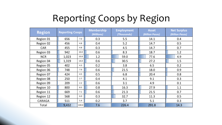## Reporting Coops by Region

| <b>Region</b> | <b>Reporting Coops</b> |       | <b>Membership</b><br>(Millions) | <b>Employment</b><br>(Thousands) | <b>Asset</b><br><b>(Billion Pesos)</b> | <b>Net Surplus</b><br>(Billion Pesos) |
|---------------|------------------------|-------|---------------------------------|----------------------------------|----------------------------------------|---------------------------------------|
| Region 01     | 656                    | 7.0   | 0.3                             | 5.5                              | 14.1                                   | 0.4                                   |
| Region 02     | 456                    | 4.8   | 0.4                             | 5.2                              | 14.7                                   | 0.5                                   |
| <b>CAR</b>    | 455                    | 4.8   | 0.3                             | 4.5                              | 14.7                                   | 0.7                                   |
| Region 03     | 942                    | 10.0  | 0.6                             | 8.3                              | 18.7                                   | 1.2                                   |
| <b>NCR</b>    | 1,023                  | 10.8  | 1.2                             | 59.0                             | 77.6                                   | 4.9                                   |
| Region 04     | 1,319                  | 14.0  | 0.6                             | 30.5                             | 27.2                                   | 1.5                                   |
| Region 05     | 402                    | 4.3   | 0.2                             | 3.8                              | 6.5                                    | 0.2                                   |
| Region 06     | 748                    | 7.9   | 0.6                             | 21.5                             | 18.0                                   | 0.9                                   |
| Region 07     | 424                    | 4.5   | 0.5                             | 6.8                              | 20.4                                   | 0.8                                   |
| Region 08     | 250                    | 2.7   | 0.4                             | 4.1                              | 9.1                                    | 0.3                                   |
| Region 09     | 209                    | $2.2$ | 0.6                             | 3.1                              | 4.9                                    | 0.1                                   |
| Region 10     | 800                    | 8.5   | 0.8                             | 16.3                             | 27.9                                   | 1.1                                   |
| Region 11     | 669                    | 7.1   | 0.6                             | 21.3                             | 21.5                                   | 0.7                                   |
| Region 12     | 568                    | 6.0   | 0.3                             | 32.7                             | 11.3                                   | 0.5                                   |
| CARAGA        | 511                    | 5.4   | 0.2                             | 3.7                              | 5.1                                    | 0.3                                   |
| Total         | 9,432                  | 100.0 | 7.6                             | 226.4                            | 291.8                                  | 14.3                                  |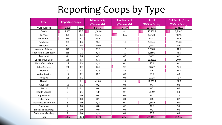### Reporting Coops by Type

| <b>Type</b>               | <b>Reporting Coops</b> |       | <b>Membership</b> | <b>Employment</b> | <b>Asset</b>    | <b>Net Surplus/Loss</b> |
|---------------------------|------------------------|-------|-------------------|-------------------|-----------------|-------------------------|
|                           |                        |       | (Thousands)       | (Thousands)       | (Million Pesos) | (Million Pesos)         |
| Multipurpose              | 6,398                  | 67.8  | 5,645.3           | 145.9             | 194,926.5       | 10,416.3                |
| Credit                    | 1,160                  | 12.3  | 1,105.6           | 8.1               | 46,801.9        | 2,214.2                 |
| Service                   | 405                    | 4.3   | 161.6             | 45.5              | 5,843.6         | 487.6                   |
| Consumers                 | 388                    | 4.1   | 42.8              | 1.7               | 937.1           | 95.4                    |
| Producers                 | 308                    | 3.3   | 21.6              | 1.3               | 1,074.4         | 114.3                   |
| Marketing                 | 247                    | 2.6   | 162.0             | 1.2               | 1,105.7         | 259.3                   |
| Agrarian Reform           | 176                    | 1.9   | 35.9              | 1.5               | 1,678.6         | 34.5                    |
| Federation-Secondary      | 115                    | 1.2   | n/a               | 1.1               | 6,659.3         | 93.9                    |
| Transport                 | 61                     | 0.6   | 4.9               | 0.3               | 162.2           | 4.1                     |
| Cooperative Bank          | 28                     | 0.3   | n/a               | 1.9               | 16,451.5        | 200.6                   |
| Union-Secondary           | 25                     | 0.3   | n/a               | 0.1               | 40.1            | 0.1                     |
| Labor Service             | 23                     | 0.2   | 12.7              | 9.7               | 386.7           | 77.1                    |
| Workers                   | 21                     | 0.2   | 10.6              | 4.4               | 259.3           | 47.1                    |
| <b>Water Service</b>      | 15                     | 0.2   | 11.0              | 0.2               | 65.5            | 4.8                     |
| Housing                   | 12                     | 0.1   | 7.7               | 0.0               | 121.8           | $-0.7$                  |
| Electric                  | 11                     | 0.1   | 423.8             | 2.8               | 12,266.2        | 21.5                    |
| Advocacy                  | 10                     | 0.1   | 0.2               | 0.0               | 0.7             | 0.0                     |
| Dairy                     | 8                      | 0.1   | 0.4               | 0.0               | 6.2             | 0.0                     |
| <b>Health Service</b>     | 6                      | 0.1   | $1.0\,$           | 0.4               | 352.9           | 5.8                     |
| Agriculture               | $\overline{4}$         | 0.0   | 0.4               | 0.0               | 26.0            | 2.0                     |
| Fishermen                 | 3                      | 0.0   | 0.1               | 0.0               | 0.8             | 0.1                     |
| Insurance-Secondary       | 3                      | 0.0   | n/a               | 0.2               | 2,545.6         | 204.3                   |
| Education                 | $\overline{2}$         | 0.0   | 0.0               | 0.1               | 32.6            | 3.6                     |
| <b>Small Scale Mining</b> | $\overline{2}$         | 0.0   | 0.0               | 0.0               | 0.1             | 0.0                     |
| Federation-Tertiary       | $\mathbf{1}$           | 0.0   | n/a               | 0.0               | 55.9            | 0.8                     |
| Total                     | 9,432                  | 100.0 | 7,647.8           | 226.4             | 291,801.1       | 14,286.8                |